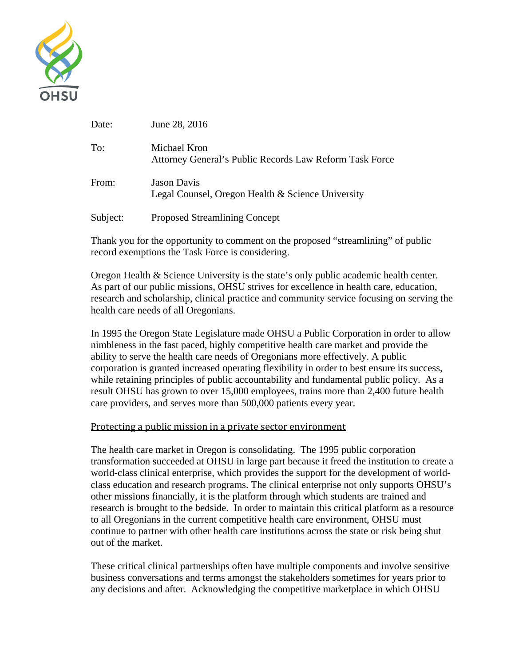

| Date:    | June 28, 2016                                                           |
|----------|-------------------------------------------------------------------------|
| To:      | Michael Kron<br>Attorney General's Public Records Law Reform Task Force |
| From:    | <b>Jason Davis</b><br>Legal Counsel, Oregon Health & Science University |
| Subject: | <b>Proposed Streamlining Concept</b>                                    |

Thank you for the opportunity to comment on the proposed "streamlining" of public record exemptions the Task Force is considering.

Oregon Health & Science University is the state's only public academic health center. As part of our public missions, OHSU strives for excellence in health care, education, research and scholarship, clinical practice and community service focusing on serving the health care needs of all Oregonians.

In 1995 the Oregon State Legislature made OHSU a Public Corporation in order to allow nimbleness in the fast paced, highly competitive health care market and provide the ability to serve the health care needs of Oregonians more effectively. A public corporation is granted increased operating flexibility in order to best ensure its success, while retaining principles of public accountability and fundamental public policy. As a result OHSU has grown to over 15,000 employees, trains more than 2,400 future health care providers, and serves more than 500,000 patients every year.

## Protecting a public mission in a private sector environment

The health care market in Oregon is consolidating. The 1995 public corporation transformation succeeded at OHSU in large part because it freed the institution to create a world-class clinical enterprise, which provides the support for the development of worldclass education and research programs. The clinical enterprise not only supports OHSU's other missions financially, it is the platform through which students are trained and research is brought to the bedside. In order to maintain this critical platform as a resource to all Oregonians in the current competitive health care environment, OHSU must continue to partner with other health care institutions across the state or risk being shut out of the market.

These critical clinical partnerships often have multiple components and involve sensitive business conversations and terms amongst the stakeholders sometimes for years prior to any decisions and after. Acknowledging the competitive marketplace in which OHSU